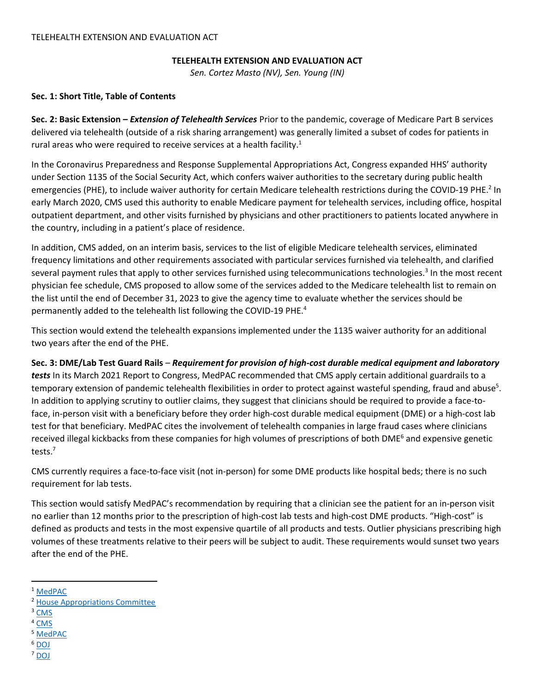### **TELEHEALTH EXTENSION AND EVALUATION ACT**

*Sen. Cortez Masto (NV), Sen. Young (IN)*

# **Sec. 1: Short Title, Table of Contents**

**Sec. 2: Basic Extension –** *Extension of Telehealth Services* Prior to the pandemic, coverage of Medicare Part B services delivered via telehealth (outside of a risk sharing arrangement) was generally limited a subset of codes for patients in rural areas who were required to receive services at a health facility.<sup>1</sup>

In the Coronavirus Preparedness and Response Supplemental Appropriations Act, Congress expanded HHS' authority under Section 1135 of the Social Security Act, which confers waiver authorities to the secretary during public health emergencies (PHE), to include waiver authority for certain Medicare telehealth restrictions during the COVID-19 PHE.<sup>2</sup> In early March 2020, CMS used this authority to enable Medicare payment for telehealth services, including office, hospital outpatient department, and other visits furnished by physicians and other practitioners to patients located anywhere in the country, including in a patient's place of residence.

In addition, CMS added, on an interim basis, services to the list of eligible Medicare telehealth services, eliminated frequency limitations and other requirements associated with particular services furnished via telehealth, and clarified several payment rules that apply to other services furnished using telecommunications technologies.<sup>3</sup> In the most recent physician fee schedule, CMS proposed to allow some of the services added to the Medicare telehealth list to remain on the list until the end of December 31, 2023 to give the agency time to evaluate whether the services should be permanently added to the telehealth list following the COVID-19 PHE.<sup>4</sup>

This section would extend the telehealth expansions implemented under the 1135 waiver authority for an additional two years after the end of the PHE.

# **Sec. 3: DME/Lab Test Guard Rails** – *Requirement for provision of high-cost durable medical equipment and laboratory*

*tests* In its March 2021 Report to Congress, MedPAC recommended that CMS apply certain additional guardrails to a temporary extension of pandemic telehealth flexibilities in order to protect against wasteful spending, fraud and abuse<sup>5</sup>. In addition to applying scrutiny to outlier claims, they suggest that clinicians should be required to provide a face-toface, in-person visit with a beneficiary before they order high-cost durable medical equipment (DME) or a high-cost lab test for that beneficiary. MedPAC cites the involvement of telehealth companies in large fraud cases where clinicians received illegal kickbacks from these companies for high volumes of prescriptions of both DME<sup>6</sup> and expensive genetic tests.<sup>7</sup>

CMS currently requires a face-to-face visit (not in-person) for some DME products like hospital beds; there is no such requirement for lab tests.

This section would satisfy MedPAC's recommendation by requiring that a clinician see the patient for an in-person visit no earlier than 12 months prior to the prescription of high-cost lab tests and high-cost DME products. "High-cost" is defined as products and tests in the most expensive quartile of all products and tests. Outlier physicians prescribing high volumes of these treatments relative to their peers will be subject to audit. These requirements would sunset two years after the end of the PHE.

<sup>3</sup> [CMS](https://www.cms.gov/files/document/covid-final-ifc.pdf)

 $\overline{\phantom{a}}$ 

- <sup>4</sup> [CMS](https://www.cms.gov/newsroom/fact-sheets/calendar-year-cy-2022-medicare-physician-fee-schedule-proposed-rule)
- <sup>5</sup> [MedPAC](http://www.medpac.gov/docs/default-source/reports/mar21_medpac_report_ch14_sec.pdf?sfvrsn=0)
- <sup>6</sup> [DOJ](https://www.justice.gov/opa/pr/federal-indictments-and-law-enforcement-actions-one-largest-health-care-fraud-schemes)
- <sup>7</sup> [DOJ](https://www.justice.gov/opa/pr/federal-law-enforcement-action-involving-fraudulent-genetic-testing-results-charges-against)

<sup>1</sup> [MedPAC](http://www.medpac.gov/docs/default-source/reports/mar18_medpac_ch16_sec.pdf?sfvrsn=0)

<sup>2</sup> [House Appropriations Committee](https://appropriations.house.gov/sites/democrats.appropriations.house.gov/files/Coronavirus%20Supp%20Summary%203.4.20.pdf)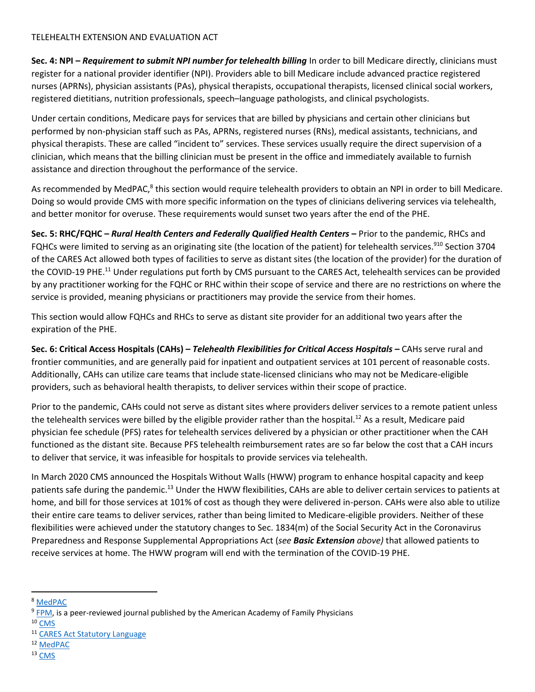**Sec. 4: NPI –** *Requirement to submit NPI number for telehealth billing* In order to bill Medicare directly, clinicians must register for a national provider identifier (NPI). Providers able to bill Medicare include advanced practice registered nurses (APRNs), physician assistants (PAs), physical therapists, occupational therapists, licensed clinical social workers, registered dietitians, nutrition professionals, speech–language pathologists, and clinical psychologists.

Under certain conditions, Medicare pays for services that are billed by physicians and certain other clinicians but performed by non-physician staff such as PAs, APRNs, registered nurses (RNs), medical assistants, technicians, and physical therapists. These are called "incident to" services. These services usually require the direct supervision of a clinician, which means that the billing clinician must be present in the office and immediately available to furnish assistance and direction throughout the performance of the service.

As recommended by MedPAC,<sup>8</sup> this section would require telehealth providers to obtain an NPI in order to bill Medicare. Doing so would provide CMS with more specific information on the types of clinicians delivering services via telehealth, and better monitor for overuse. These requirements would sunset two years after the end of the PHE.

**Sec. 5: RHC/FQHC –** *Rural Health Centers and Federally Qualified Health Centers* **–** Prior to the pandemic, RHCs and FQHCs were limited to serving as an originating site (the location of the patient) for telehealth services.<sup>910</sup> Section 3704 of the CARES Act allowed both types of facilities to serve as distant sites (the location of the provider) for the duration of the COVID-19 PHE.<sup>11</sup> Under regulations put forth by CMS pursuant to the CARES Act, telehealth services can be provided by any practitioner working for the FQHC or RHC within their scope of service and there are no restrictions on where the service is provided, meaning physicians or practitioners may provide the service from their homes.

This section would allow FQHCs and RHCs to serve as distant site provider for an additional two years after the expiration of the PHE.

**Sec. 6: Critical Access Hospitals (CAHs) –** *Telehealth Flexibilities for Critical Access Hospitals –* CAHs serve rural and frontier communities, and are generally paid for inpatient and outpatient services at 101 percent of reasonable costs. Additionally, CAHs can utilize care teams that include state-licensed clinicians who may not be Medicare-eligible providers, such as behavioral health therapists, to deliver services within their scope of practice.

Prior to the pandemic, CAHs could not serve as distant sites where providers deliver services to a remote patient unless the telehealth services were billed by the eligible provider rather than the hospital.<sup>12</sup> As a result, Medicare paid physician fee schedule (PFS) rates for telehealth services delivered by a physician or other practitioner when the CAH functioned as the distant site. Because PFS telehealth reimbursement rates are so far below the cost that a CAH incurs to deliver that service, it was infeasible for hospitals to provide services via telehealth.

In March 2020 CMS announced the Hospitals Without Walls (HWW) program to enhance hospital capacity and keep patients safe during the pandemic.<sup>13</sup> Under the HWW flexibilities, CAHs are able to deliver certain services to patients at home, and bill for those services at 101% of cost as though they were delivered in-person. CAHs were also able to utilize their entire care teams to deliver services, rather than being limited to Medicare-eligible providers. Neither of these flexibilities were achieved under the statutory changes to Sec. 1834(m) of the Social Security Act in the Coronavirus Preparedness and Response Supplemental Appropriations Act (*see Basic Extension above)* that allowed patients to receive services at home. The HWW program will end with the termination of the COVID-19 PHE.

l

<sup>8</sup> [MedPAC](http://www.medpac.gov/docs/default-source/reports/mar21_medpac_report_ch14_sec.pdf?sfvrsn=0)

<sup>&</sup>lt;sup>9</sup> [FPM,](https://www.aafp.org/journals/fpm/blogs/gettingpaid/entry/FQHC_covid_telehealth.html) is a peer-reviewed journal published by the American Academy of Family Physicians

<sup>10</sup> [CMS](https://www.cms.gov/files/document/se20016.pdf)

<sup>11</sup> [CARES Act Statutory Language](https://www.congress.gov/116/bills/hr748/BILLS-116hr748enr.pdf#page=136)

<sup>12</sup> [MedPAC](http://www.medpac.gov/docs/default-source/reports/mar18_medpac_ch16_sec.pdf?sfvrsn=0#page=34)

<sup>13</sup> [CMS](https://www.cms.gov/newsroom/fact-sheets/additional-backgroundsweeping-regulatory-changes-help-us-healthcare-system-address-covid-19-patient)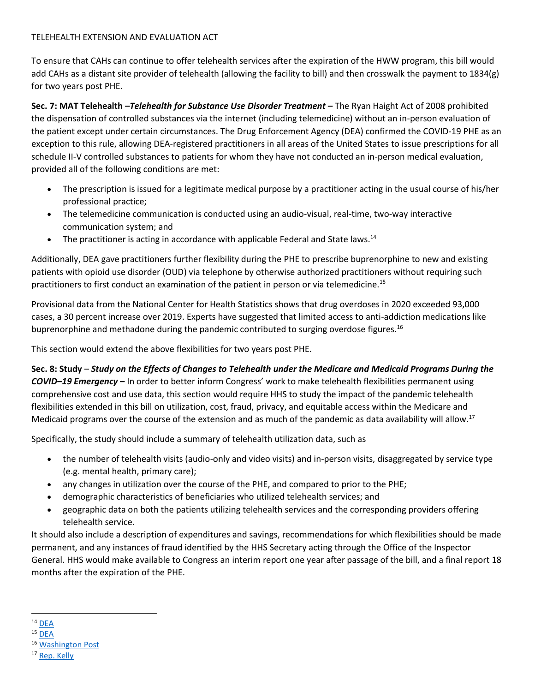To ensure that CAHs can continue to offer telehealth services after the expiration of the HWW program, this bill would add CAHs as a distant site provider of telehealth (allowing the facility to bill) and then crosswalk the payment to 1834(g) for two years post PHE.

**Sec. 7: MAT Telehealth** *–Telehealth for Substance Use Disorder Treatment –* The Ryan Haight Act of 2008 prohibited the dispensation of controlled substances via the internet (including telemedicine) without an in-person evaluation of the patient except under certain circumstances. The Drug Enforcement Agency (DEA) confirmed the COVID-19 PHE as an exception to this rule, allowing DEA-registered practitioners in all areas of the United States to issue prescriptions for all schedule II-V controlled substances to patients for whom they have not conducted an in-person medical evaluation, provided all of the following conditions are met:

- The prescription is issued for a legitimate medical purpose by a practitioner acting in the usual course of his/her professional practice;
- The telemedicine communication is conducted using an audio-visual, real-time, two-way interactive communication system; and
- The practitioner is acting in accordance with applicable Federal and State laws.<sup>14</sup>

Additionally, DEA gave practitioners further flexibility during the PHE to prescribe buprenorphine to new and existing patients with opioid use disorder (OUD) via telephone by otherwise authorized practitioners without requiring such practitioners to first conduct an examination of the patient in person or via telemedicine.<sup>15</sup>

Provisional data from the National Center for Health Statistics shows that drug overdoses in 2020 exceeded 93,000 cases, a 30 percent increase over 2019. Experts have suggested that limited access to anti-addiction medications like buprenorphine and methadone during the pandemic contributed to surging overdose figures.<sup>16</sup>

This section would extend the above flexibilities for two years post PHE.

**Sec. 8: Study** – *Study on the Effects of Changes to Telehealth under the Medicare and Medicaid Programs During the COVID–19 Emergency* **–** In order to better inform Congress' work to make telehealth flexibilities permanent using comprehensive cost and use data, this section would require HHS to study the impact of the pandemic telehealth flexibilities extended in this bill on utilization, cost, fraud, privacy, and equitable access within the Medicare and Medicaid programs over the course of the extension and as much of the pandemic as data availability will allow.<sup>17</sup>

Specifically, the study should include a summary of telehealth utilization data, such as

- the number of telehealth visits (audio-only and video visits) and in-person visits, disaggregated by service type (e.g. mental health, primary care);
- any changes in utilization over the course of the PHE, and compared to prior to the PHE;
- demographic characteristics of beneficiaries who utilized telehealth services; and
- geographic data on both the patients utilizing telehealth services and the corresponding providers offering telehealth service.

It should also include a description of expenditures and savings, recommendations for which flexibilities should be made permanent, and any instances of fraud identified by the HHS Secretary acting through the Office of the Inspector General. HHS would make available to Congress an interim report one year after passage of the bill, and a final report 18 months after the expiration of the PHE.

<sup>16</sup> [Washington Post](https://www.washingtonpost.com/health/2021/07/14/drug-overdoses-pandemic-2020/)

<sup>&</sup>lt;sup>17</sup> [Rep. Kelly](https://robinkelly.house.gov/media-center/press-releases/rep-kelly-introduces-bill-to-evaluate-telehealth-usage-during-covid-19)